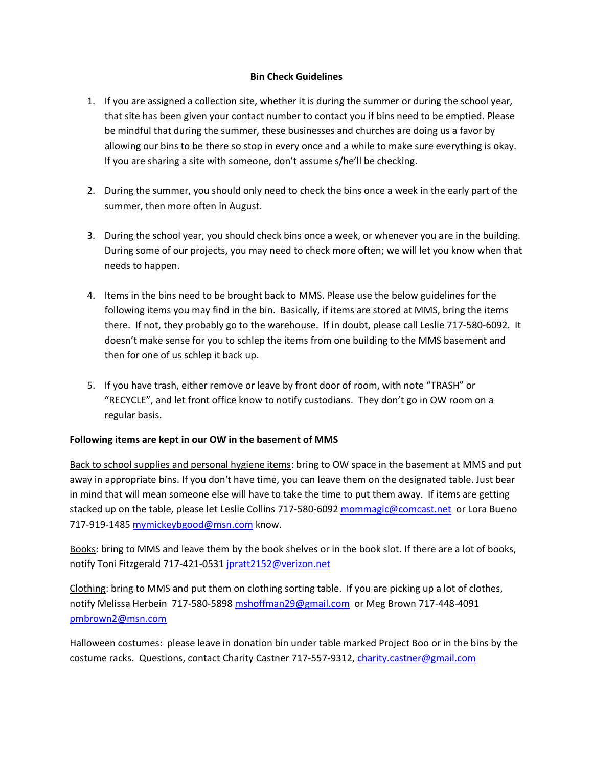## **Bin Check Guidelines**

- 1. If you are assigned a collection site, whether it is during the summer or during the school year, that site has been given your contact number to contact you if bins need to be emptied. Please be mindful that during the summer, these businesses and churches are doing us a favor by allowing our bins to be there so stop in every once and a while to make sure everything is okay. If you are sharing a site with someone, don't assume s/he'll be checking.
- 2. During the summer, you should only need to check the bins once a week in the early part of the summer, then more often in August.
- 3. During the school year, you should check bins once a week, or whenever you are in the building. During some of our projects, you may need to check more often; we will let you know when that needs to happen.
- 4. Items in the bins need to be brought back to MMS. Please use the below guidelines for the following items you may find in the bin. Basically, if items are stored at MMS, bring the items there. If not, they probably go to the warehouse. If in doubt, please call Leslie 717-580-6092. It doesn't make sense for you to schlep the items from one building to the MMS basement and then for one of us schlep it back up.
- 5. If you have trash, either remove or leave by front door of room, with note "TRASH" or "RECYCLE", and let front office know to notify custodians. They don't go in OW room on a regular basis.

## **Following items are kept in our OW in the basement of MMS**

Back to school supplies and personal hygiene items: bring to OW space in the basement at MMS and put away in appropriate bins. If you don't have time, you can leave them on the designated table. Just bear in mind that will mean someone else will have to take the time to put them away. If items are getting stacked up on the table, please let Leslie Collins 717-580-6092 [mommagic@comcast.net](mailto:mommagic@comcast.net) or Lora Bueno 717-919-1485 [mymickeybgood@msn.com](mailto:mymickeybgood@msn.com) know.

Books: bring to MMS and leave them by the book shelves or in the book slot. If there are a lot of books, notify Toni Fitzgerald 717-421-0531 [jpratt2152@verizon.net](mailto:jpratt2152@verizon.net)

Clothing: bring to MMS and put them on clothing sorting table. If you are picking up a lot of clothes, notify Melissa Herbein 717-580-589[8 mshoffman29@gmail.com](mailto:mshoffman29@gmail.com) or Meg Brown 717-448-4091 [pmbrown2@msn.com](mailto:pmbrown2@msn.com)

Halloween costumes: please leave in donation bin under table marked Project Boo or in the bins by the costume racks. Questions, contact Charity Castner 717-557-9312, [charity.castner@gmail.com](mailto:charity.castner@gmail.com)